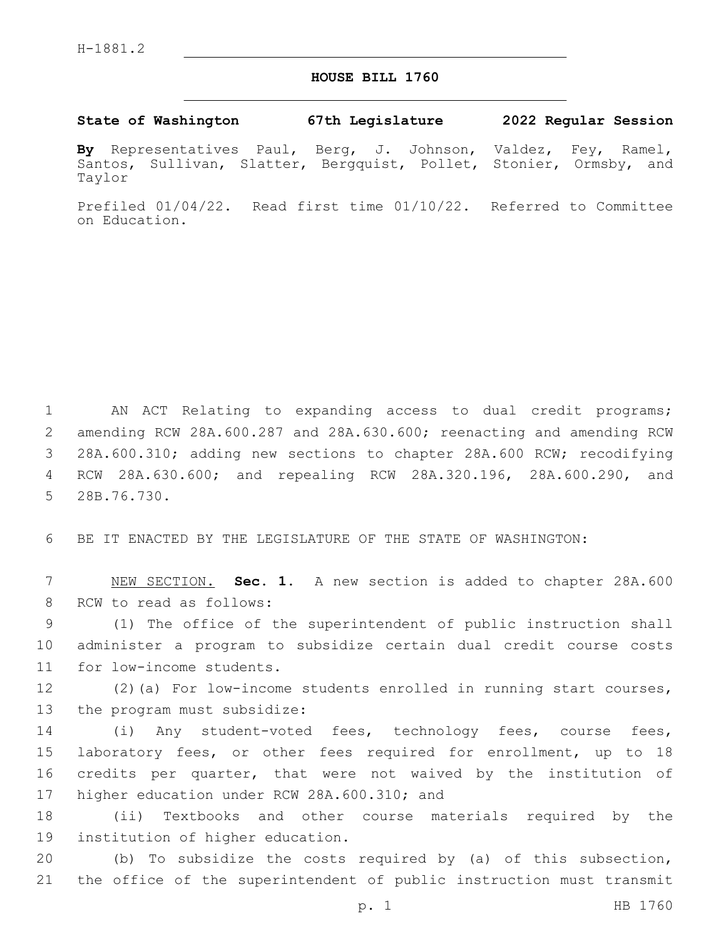## **HOUSE BILL 1760**

**State of Washington 67th Legislature 2022 Regular Session**

**By** Representatives Paul, Berg, J. Johnson, Valdez, Fey, Ramel, Santos, Sullivan, Slatter, Bergquist, Pollet, Stonier, Ormsby, and Taylor

Prefiled 01/04/22. Read first time 01/10/22. Referred to Committee on Education.

 AN ACT Relating to expanding access to dual credit programs; amending RCW 28A.600.287 and 28A.630.600; reenacting and amending RCW 28A.600.310; adding new sections to chapter 28A.600 RCW; recodifying RCW 28A.630.600; and repealing RCW 28A.320.196, 28A.600.290, and 5 28B.76.730.

6 BE IT ENACTED BY THE LEGISLATURE OF THE STATE OF WASHINGTON:

7 NEW SECTION. **Sec. 1.** A new section is added to chapter 28A.600 8 RCW to read as follows:

9 (1) The office of the superintendent of public instruction shall 10 administer a program to subsidize certain dual credit course costs 11 for low-income students.

12 (2)(a) For low-income students enrolled in running start courses, 13 the program must subsidize:

 (i) Any student-voted fees, technology fees, course fees, laboratory fees, or other fees required for enrollment, up to 18 credits per quarter, that were not waived by the institution of 17 higher education under RCW 28A.600.310; and

18 (ii) Textbooks and other course materials required by the 19 institution of higher education.

20 (b) To subsidize the costs required by (a) of this subsection, 21 the office of the superintendent of public instruction must transmit

p. 1 HB 1760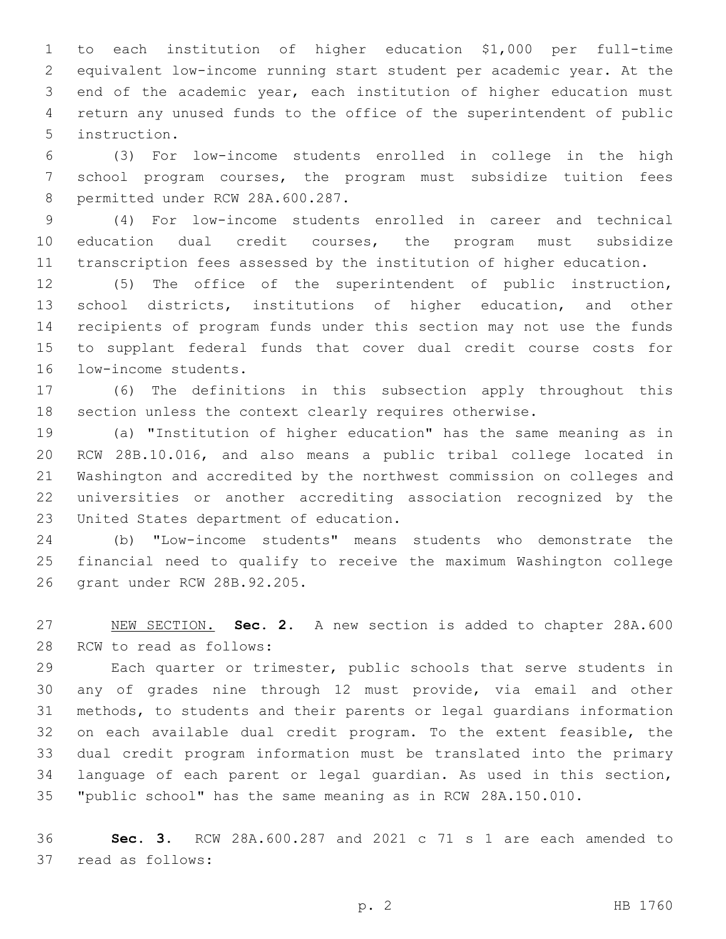to each institution of higher education \$1,000 per full-time equivalent low-income running start student per academic year. At the end of the academic year, each institution of higher education must return any unused funds to the office of the superintendent of public 5 instruction.

 (3) For low-income students enrolled in college in the high school program courses, the program must subsidize tuition fees 8 permitted under RCW 28A.600.287.

 (4) For low-income students enrolled in career and technical education dual credit courses, the program must subsidize transcription fees assessed by the institution of higher education.

 (5) The office of the superintendent of public instruction, school districts, institutions of higher education, and other recipients of program funds under this section may not use the funds to supplant federal funds that cover dual credit course costs for 16 low-income students.

 (6) The definitions in this subsection apply throughout this section unless the context clearly requires otherwise.

 (a) "Institution of higher education" has the same meaning as in RCW 28B.10.016, and also means a public tribal college located in Washington and accredited by the northwest commission on colleges and universities or another accrediting association recognized by the 23 United States department of education.

 (b) "Low-income students" means students who demonstrate the financial need to qualify to receive the maximum Washington college 26 grant under RCW 28B.92.205.

 NEW SECTION. **Sec. 2.** A new section is added to chapter 28A.600 28 RCW to read as follows:

 Each quarter or trimester, public schools that serve students in any of grades nine through 12 must provide, via email and other methods, to students and their parents or legal guardians information on each available dual credit program. To the extent feasible, the dual credit program information must be translated into the primary language of each parent or legal guardian. As used in this section, "public school" has the same meaning as in RCW 28A.150.010.

 **Sec. 3.** RCW 28A.600.287 and 2021 c 71 s 1 are each amended to 37 read as follows: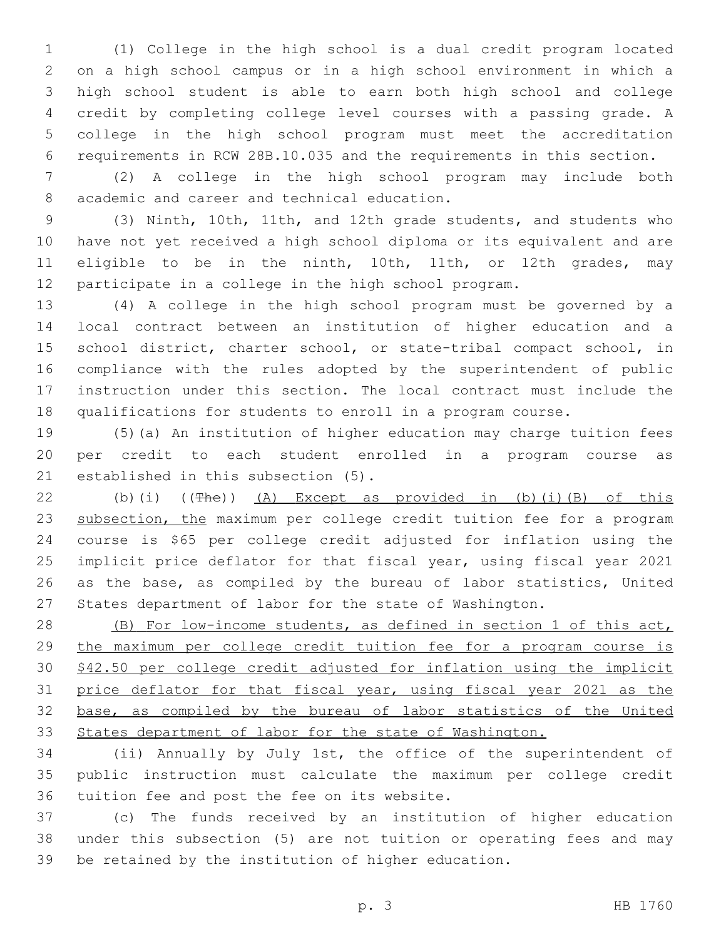(1) College in the high school is a dual credit program located on a high school campus or in a high school environment in which a high school student is able to earn both high school and college credit by completing college level courses with a passing grade. A college in the high school program must meet the accreditation requirements in RCW 28B.10.035 and the requirements in this section.

 (2) A college in the high school program may include both 8 academic and career and technical education.

 (3) Ninth, 10th, 11th, and 12th grade students, and students who have not yet received a high school diploma or its equivalent and are eligible to be in the ninth, 10th, 11th, or 12th grades, may participate in a college in the high school program.

 (4) A college in the high school program must be governed by a local contract between an institution of higher education and a school district, charter school, or state-tribal compact school, in compliance with the rules adopted by the superintendent of public instruction under this section. The local contract must include the qualifications for students to enroll in a program course.

 (5)(a) An institution of higher education may charge tuition fees per credit to each student enrolled in a program course as 21 established in this subsection  $(5)$ .

 (b)(i) ((The)) (A) Except as provided in (b)(i)(B) of this 23 subsection, the maximum per college credit tuition fee for a program course is \$65 per college credit adjusted for inflation using the implicit price deflator for that fiscal year, using fiscal year 2021 as the base, as compiled by the bureau of labor statistics, United States department of labor for the state of Washington.

 (B) For low-income students, as defined in section 1 of this act, the maximum per college credit tuition fee for a program course is \$42.50 per college credit adjusted for inflation using the implicit 31 price deflator for that fiscal year, using fiscal year 2021 as the base, as compiled by the bureau of labor statistics of the United States department of labor for the state of Washington.

 (ii) Annually by July 1st, the office of the superintendent of public instruction must calculate the maximum per college credit 36 tuition fee and post the fee on its website.

 (c) The funds received by an institution of higher education under this subsection (5) are not tuition or operating fees and may be retained by the institution of higher education.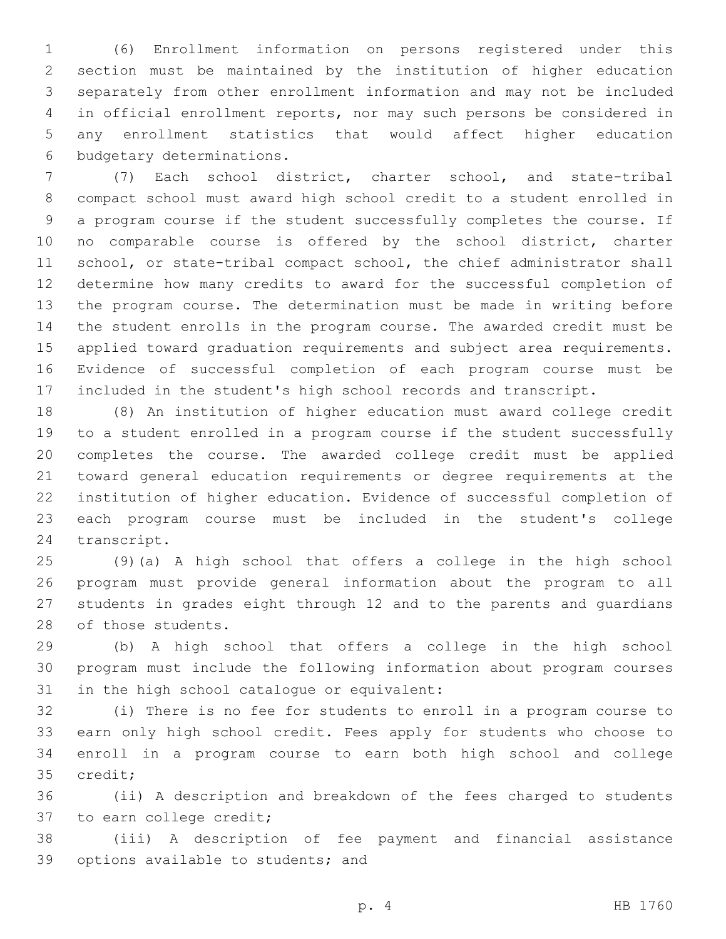(6) Enrollment information on persons registered under this section must be maintained by the institution of higher education separately from other enrollment information and may not be included in official enrollment reports, nor may such persons be considered in any enrollment statistics that would affect higher education 6 budgetary determinations.

 (7) Each school district, charter school, and state-tribal compact school must award high school credit to a student enrolled in a program course if the student successfully completes the course. If no comparable course is offered by the school district, charter school, or state-tribal compact school, the chief administrator shall determine how many credits to award for the successful completion of the program course. The determination must be made in writing before the student enrolls in the program course. The awarded credit must be applied toward graduation requirements and subject area requirements. Evidence of successful completion of each program course must be included in the student's high school records and transcript.

 (8) An institution of higher education must award college credit to a student enrolled in a program course if the student successfully completes the course. The awarded college credit must be applied toward general education requirements or degree requirements at the institution of higher education. Evidence of successful completion of each program course must be included in the student's college 24 transcript.

 (9)(a) A high school that offers a college in the high school program must provide general information about the program to all students in grades eight through 12 and to the parents and guardians 28 of those students.

 (b) A high school that offers a college in the high school program must include the following information about program courses 31 in the high school catalogue or equivalent:

 (i) There is no fee for students to enroll in a program course to earn only high school credit. Fees apply for students who choose to enroll in a program course to earn both high school and college 35 credit;

 (ii) A description and breakdown of the fees charged to students 37 to earn college credit;

 (iii) A description of fee payment and financial assistance 39 options available to students; and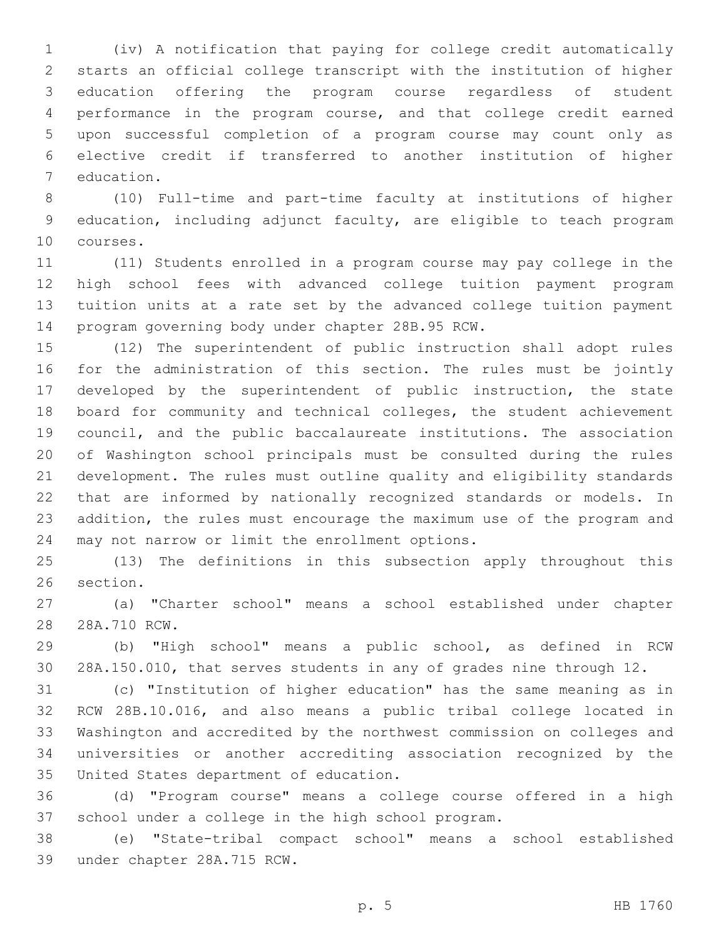(iv) A notification that paying for college credit automatically starts an official college transcript with the institution of higher education offering the program course regardless of student performance in the program course, and that college credit earned upon successful completion of a program course may count only as elective credit if transferred to another institution of higher 7 education.

 (10) Full-time and part-time faculty at institutions of higher education, including adjunct faculty, are eligible to teach program 10 courses.

 (11) Students enrolled in a program course may pay college in the high school fees with advanced college tuition payment program tuition units at a rate set by the advanced college tuition payment 14 program governing body under chapter 28B.95 RCW.

 (12) The superintendent of public instruction shall adopt rules for the administration of this section. The rules must be jointly developed by the superintendent of public instruction, the state board for community and technical colleges, the student achievement council, and the public baccalaureate institutions. The association of Washington school principals must be consulted during the rules development. The rules must outline quality and eligibility standards that are informed by nationally recognized standards or models. In addition, the rules must encourage the maximum use of the program and 24 may not narrow or limit the enrollment options.

 (13) The definitions in this subsection apply throughout this 26 section.

 (a) "Charter school" means a school established under chapter 28 28A.710 RCW.

 (b) "High school" means a public school, as defined in RCW 28A.150.010, that serves students in any of grades nine through 12.

 (c) "Institution of higher education" has the same meaning as in RCW 28B.10.016, and also means a public tribal college located in Washington and accredited by the northwest commission on colleges and universities or another accrediting association recognized by the 35 United States department of education.

 (d) "Program course" means a college course offered in a high school under a college in the high school program.

 (e) "State-tribal compact school" means a school established 39 under chapter 28A.715 RCW.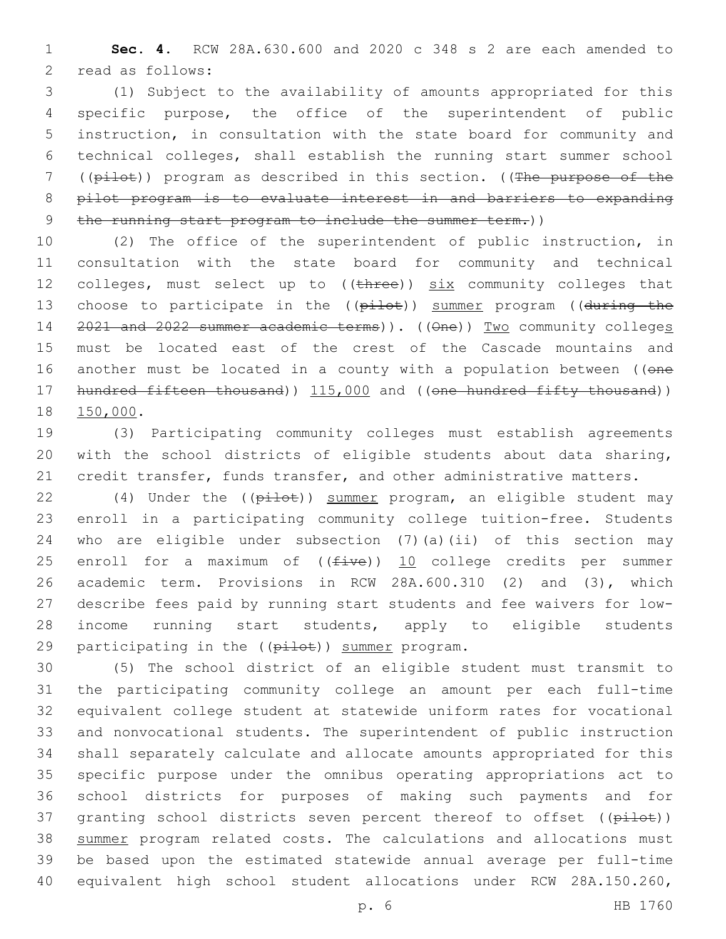**Sec. 4.** RCW 28A.630.600 and 2020 c 348 s 2 are each amended to 2 read as follows:

 (1) Subject to the availability of amounts appropriated for this specific purpose, the office of the superintendent of public instruction, in consultation with the state board for community and technical colleges, shall establish the running start summer school ((pilot)) program as described in this section. ((The purpose of the pilot program is to evaluate interest in and barriers to expanding 9 the running start program to include the summer term.))

 (2) The office of the superintendent of public instruction, in consultation with the state board for community and technical 12 colleges, must select up to  $((t + hree))$  six community colleges that 13 choose to participate in the ((pilot)) summer program ((during the 14 2021 and 2022 summer academic terms)). ((One)) Two community colleges must be located east of the crest of the Cascade mountains and 16 another must be located in a county with a population between ((one 17 hundred fifteen thousand) 115,000 and ((one hundred fifty thousand)) 18 150,000.

 (3) Participating community colleges must establish agreements with the school districts of eligible students about data sharing, 21 credit transfer, funds transfer, and other administrative matters.

22 (4) Under the ((pilot)) summer program, an eligible student may enroll in a participating community college tuition-free. Students who are eligible under subsection (7)(a)(ii) of this section may 25 enroll for a maximum of  $((five))$  10 college credits per summer academic term. Provisions in RCW 28A.600.310 (2) and (3), which describe fees paid by running start students and fee waivers for low- income running start students, apply to eligible students 29 participating in the  $(\overrightarrow{p\texttt{ilot}})$  summer program.

 (5) The school district of an eligible student must transmit to the participating community college an amount per each full-time equivalent college student at statewide uniform rates for vocational and nonvocational students. The superintendent of public instruction shall separately calculate and allocate amounts appropriated for this specific purpose under the omnibus operating appropriations act to school districts for purposes of making such payments and for 37 granting school districts seven percent thereof to offset ((pilot)) 38 summer program related costs. The calculations and allocations must be based upon the estimated statewide annual average per full-time equivalent high school student allocations under RCW 28A.150.260,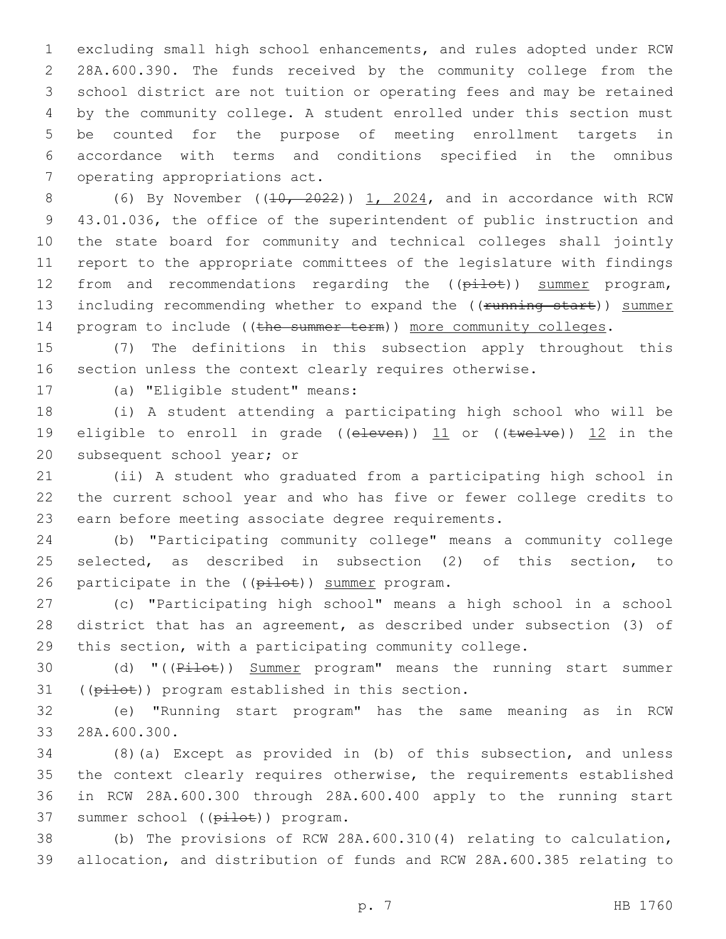excluding small high school enhancements, and rules adopted under RCW 28A.600.390. The funds received by the community college from the school district are not tuition or operating fees and may be retained by the community college. A student enrolled under this section must be counted for the purpose of meeting enrollment targets in accordance with terms and conditions specified in the omnibus 7 operating appropriations act.

8 (6) By November ( $(10, 2022)$ ) 1, 2024, and in accordance with RCW 43.01.036, the office of the superintendent of public instruction and the state board for community and technical colleges shall jointly report to the appropriate committees of the legislature with findings 12 from and recommendations regarding the ((pilot)) summer program, 13 including recommending whether to expand the ((running start)) summer 14 program to include ((the summer term)) more community colleges.

 (7) The definitions in this subsection apply throughout this section unless the context clearly requires otherwise.

17 (a) "Eligible student" means:

 (i) A student attending a participating high school who will be 19 eligible to enroll in grade (( $e$ leven)) 11 or ( $($ twelve)) 12 in the 20 subsequent school year; or

 (ii) A student who graduated from a participating high school in the current school year and who has five or fewer college credits to earn before meeting associate degree requirements.

 (b) "Participating community college" means a community college selected, as described in subsection (2) of this section, to 26 participate in the ((pilot)) summer program.

 (c) "Participating high school" means a high school in a school district that has an agreement, as described under subsection (3) of this section, with a participating community college.

30 (d) "((Pilot)) Summer program" means the running start summer 31 ((pilot)) program established in this section.

 (e) "Running start program" has the same meaning as in RCW 33 28A.600.300.

 (8)(a) Except as provided in (b) of this subsection, and unless the context clearly requires otherwise, the requirements established in RCW 28A.600.300 through 28A.600.400 apply to the running start 37 summer school ((pilot)) program.

 (b) The provisions of RCW 28A.600.310(4) relating to calculation, allocation, and distribution of funds and RCW 28A.600.385 relating to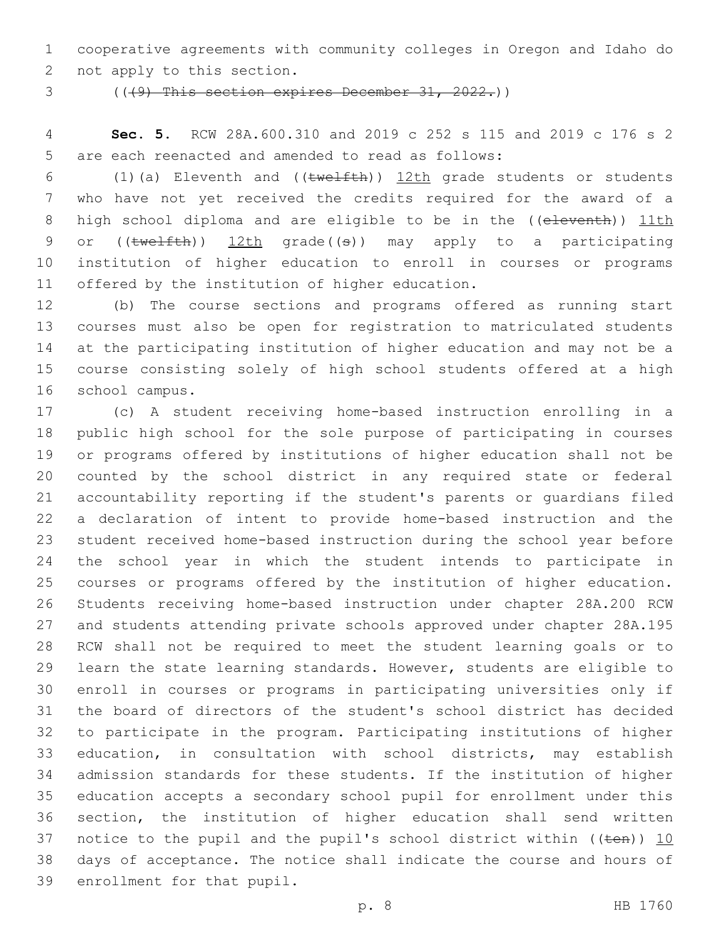cooperative agreements with community colleges in Oregon and Idaho do 2 not apply to this section.

(((9) This section expires December 31, 2022.))

 **Sec. 5.** RCW 28A.600.310 and 2019 c 252 s 115 and 2019 c 176 s 2 5 are each reenacted and amended to read as follows:

 (1)(a) Eleventh and ((twelfth)) 12th grade students or students who have not yet received the credits required for the award of a 8 high school diploma and are eligible to be in the ((eleventh)) 11th 9 or ((twelfth)) 12th grade((s)) may apply to a participating institution of higher education to enroll in courses or programs 11 offered by the institution of higher education.

 (b) The course sections and programs offered as running start courses must also be open for registration to matriculated students at the participating institution of higher education and may not be a course consisting solely of high school students offered at a high school campus.16

 (c) A student receiving home-based instruction enrolling in a public high school for the sole purpose of participating in courses or programs offered by institutions of higher education shall not be counted by the school district in any required state or federal accountability reporting if the student's parents or guardians filed a declaration of intent to provide home-based instruction and the student received home-based instruction during the school year before the school year in which the student intends to participate in courses or programs offered by the institution of higher education. Students receiving home-based instruction under chapter 28A.200 RCW and students attending private schools approved under chapter 28A.195 RCW shall not be required to meet the student learning goals or to learn the state learning standards. However, students are eligible to enroll in courses or programs in participating universities only if the board of directors of the student's school district has decided to participate in the program. Participating institutions of higher education, in consultation with school districts, may establish admission standards for these students. If the institution of higher education accepts a secondary school pupil for enrollment under this section, the institution of higher education shall send written 37 notice to the pupil and the pupil's school district within (( $t$ en))  $10$  days of acceptance. The notice shall indicate the course and hours of 39 enrollment for that pupil.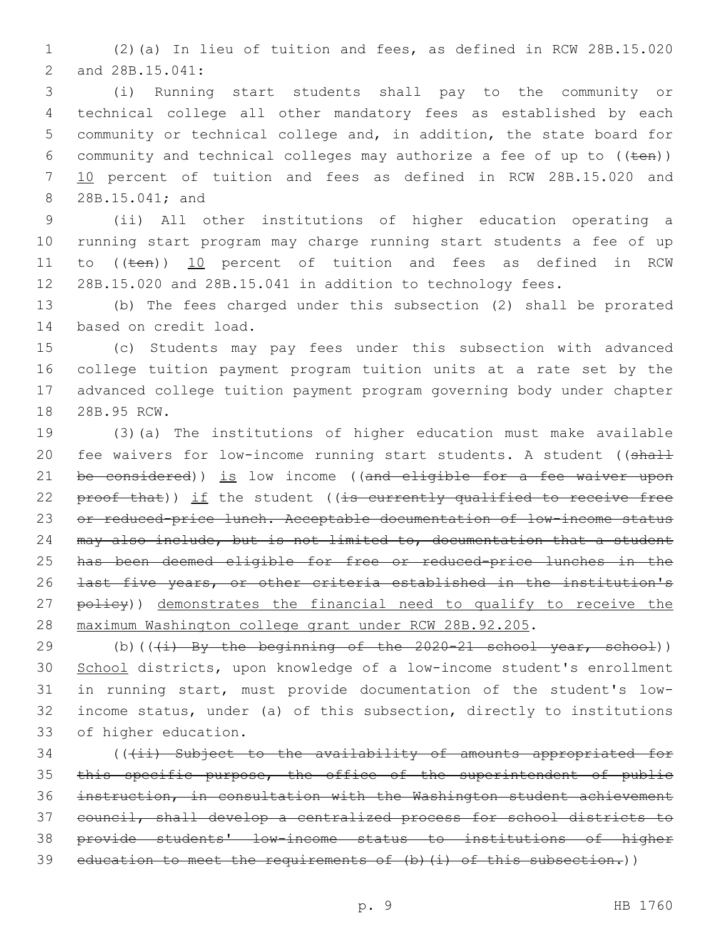1 (2)(a) In lieu of tuition and fees, as defined in RCW 28B.15.020 2 and 28B.15.041:

 (i) Running start students shall pay to the community or technical college all other mandatory fees as established by each community or technical college and, in addition, the state board for 6 community and technical colleges may authorize a fee of up to  $((\text{ten}))$  10 percent of tuition and fees as defined in RCW 28B.15.020 and 8 28B.15.041; and

 (ii) All other institutions of higher education operating a running start program may charge running start students a fee of up 11 to ((ten)) 10 percent of tuition and fees as defined in RCW 28B.15.020 and 28B.15.041 in addition to technology fees.

13 (b) The fees charged under this subsection (2) shall be prorated 14 based on credit load.

 (c) Students may pay fees under this subsection with advanced college tuition payment program tuition units at a rate set by the advanced college tuition payment program governing body under chapter 18 28B.95 RCW.

19 (3)(a) The institutions of higher education must make available 20 fee waivers for low-income running start students. A student ((shall 21 be considered)) is low income ((and eligible for a fee waiver upon 22  $proof$  that)) if the student ((is currently qualified to receive free 23 or reduced-price lunch. Acceptable documentation of low-income status 24 may also include, but is not limited to, documentation that a student 25 has been deemed eligible for free or reduced-price lunches in the 26 last five years, or other criteria established in the institution's 27 policy)) demonstrates the financial need to qualify to receive the 28 maximum Washington college grant under RCW 28B.92.205.

29 (b)( $(\frac{1}{1}$  By the beginning of the 2020-21 school year, school)) 30 School districts, upon knowledge of a low-income student's enrollment 31 in running start, must provide documentation of the student's low-32 income status, under (a) of this subsection, directly to institutions 33 of higher education.

34 (((ii) Subject to the availability of amounts appropriated for 35 this specific purpose, the office of the superintendent of public 36 instruction, in consultation with the Washington student achievement 37 council, shall develop a centralized process for school districts to 38 provide students' low-income status to institutions of higher 39 education to meet the requirements of  $(b)$   $(i)$  of this subsection.))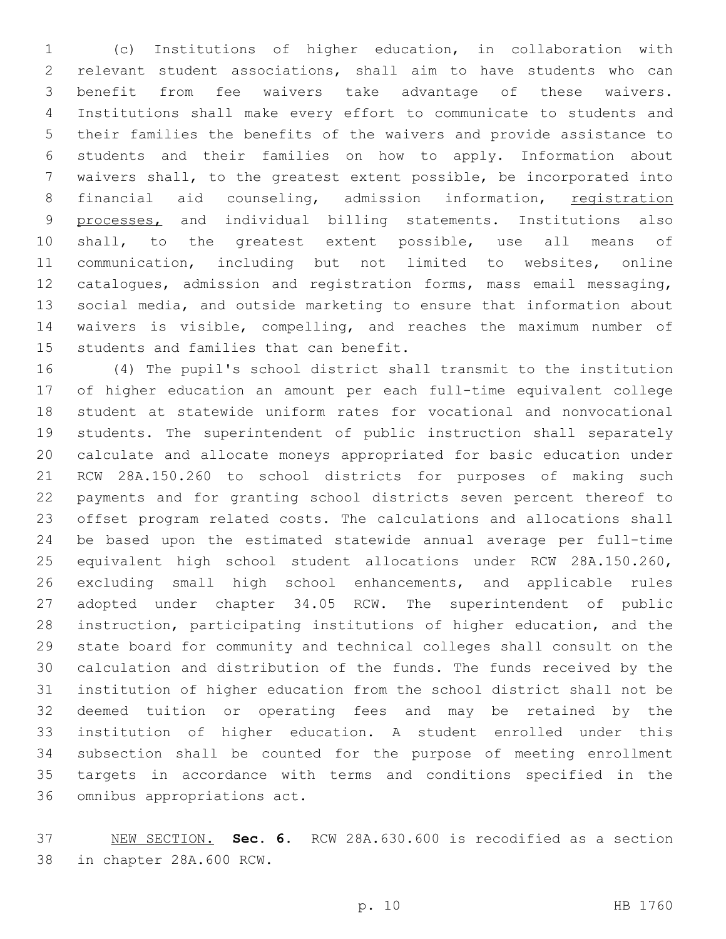(c) Institutions of higher education, in collaboration with relevant student associations, shall aim to have students who can benefit from fee waivers take advantage of these waivers. Institutions shall make every effort to communicate to students and their families the benefits of the waivers and provide assistance to students and their families on how to apply. Information about waivers shall, to the greatest extent possible, be incorporated into 8 financial aid counseling, admission information, registration 9 processes, and individual billing statements. Institutions also shall, to the greatest extent possible, use all means of communication, including but not limited to websites, online catalogues, admission and registration forms, mass email messaging, social media, and outside marketing to ensure that information about waivers is visible, compelling, and reaches the maximum number of 15 students and families that can benefit.

 (4) The pupil's school district shall transmit to the institution of higher education an amount per each full-time equivalent college student at statewide uniform rates for vocational and nonvocational students. The superintendent of public instruction shall separately calculate and allocate moneys appropriated for basic education under RCW 28A.150.260 to school districts for purposes of making such payments and for granting school districts seven percent thereof to offset program related costs. The calculations and allocations shall be based upon the estimated statewide annual average per full-time equivalent high school student allocations under RCW 28A.150.260, excluding small high school enhancements, and applicable rules adopted under chapter 34.05 RCW. The superintendent of public instruction, participating institutions of higher education, and the state board for community and technical colleges shall consult on the calculation and distribution of the funds. The funds received by the institution of higher education from the school district shall not be deemed tuition or operating fees and may be retained by the institution of higher education. A student enrolled under this subsection shall be counted for the purpose of meeting enrollment targets in accordance with terms and conditions specified in the 36 omnibus appropriations act.

 NEW SECTION. **Sec. 6.** RCW 28A.630.600 is recodified as a section in chapter 28A.600 RCW.